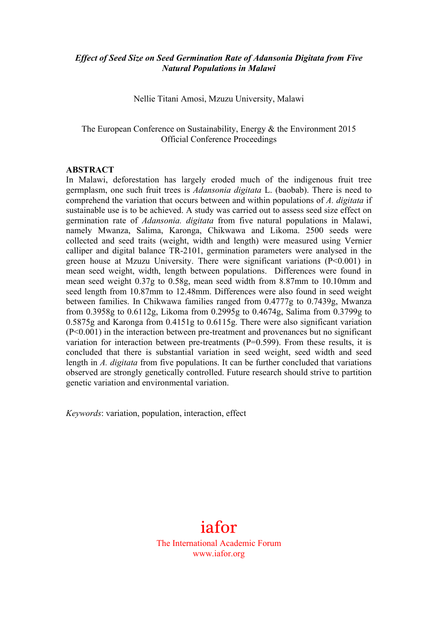### *Effect of Seed Size on Seed Germination Rate of Adansonia Digitata from Five Natural Populations in Malawi*

Nellie Titani Amosi, Mzuzu University, Malawi

The European Conference on Sustainability, Energy & the Environment 2015 Official Conference Proceedings

#### **ABSTRACT**

In Malawi, deforestation has largely eroded much of the indigenous fruit tree germplasm, one such fruit trees is *Adansonia digitata* L. (baobab). There is need to comprehend the variation that occurs between and within populations of *A. digitata* if sustainable use is to be achieved. A study was carried out to assess seed size effect on germination rate of *Adansonia. digitata* from five natural populations in Malawi, namely Mwanza, Salima, Karonga, Chikwawa and Likoma. 2500 seeds were collected and seed traits (weight, width and length) were measured using Vernier calliper and digital balance TR-2101, germination parameters were analysed in the green house at Mzuzu University. There were significant variations (P<0.001) in mean seed weight, width, length between populations. Differences were found in mean seed weight 0.37g to 0.58g, mean seed width from 8.87mm to 10.10mm and seed length from 10.87mm to 12.48mm. Differences were also found in seed weight between families. In Chikwawa families ranged from 0.4777g to 0.7439g, Mwanza from 0.3958g to 0.6112g, Likoma from 0.2995g to 0.4674g, Salima from 0.3799g to 0.5875g and Karonga from 0.4151g to 0.6115g. There were also significant variation (P<0.001) in the interaction between pre-treatment and provenances but no significant variation for interaction between pre-treatments  $(P=0.599)$ . From these results, it is concluded that there is substantial variation in seed weight, seed width and seed length in *A. digitata* from five populations. It can be further concluded that variations observed are strongly genetically controlled. Future research should strive to partition genetic variation and environmental variation.

*Keywords*: variation, population, interaction, effect

# iafor

The International Academic Forum www.iafor.org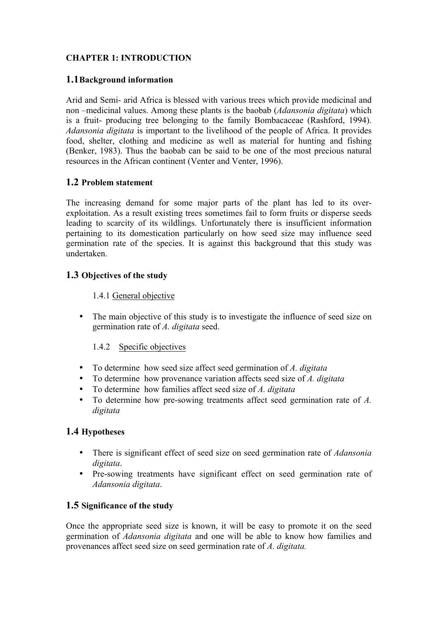# **CHAPTER 1: INTRODUCTION**

# **1.1Background information**

Arid and Semi- arid Africa is blessed with various trees which provide medicinal and non –medicinal values. Among these plants is the baobab (*Adansonia digitata*) which is a fruit- producing tree belonging to the family Bombacaceae (Rashford, 1994). *Adansonia digitata* is important to the livelihood of the people of Africa. It provides food, shelter, clothing and medicine as well as material for hunting and fishing (Benker, 1983). Thus the baobab can be said to be one of the most precious natural resources in the African continent (Venter and Venter, 1996).

# **1.2 Problem statement**

The increasing demand for some major parts of the plant has led to its overexploitation. As a result existing trees sometimes fail to form fruits or disperse seeds leading to scarcity of its wildlings. Unfortunately there is insufficient information pertaining to its domestication particularly on how seed size may influence seed germination rate of the species. It is against this background that this study was undertaken.

# **1.3 Objectives of the study**

# 1.4.1 General objective

• The main objective of this study is to investigate the influence of seed size on germination rate of *A. digitata* seed.

# 1.4.2 Specific objectives

- To determine how seed size affect seed germination of *A. digitata*
- To determine how provenance variation affects seed size of *A. digitata*
- To determine how families affect seed size of *A. digitata*
- To determine how pre-sowing treatments affect seed germination rate of *A. digitata*

# **1.4 Hypotheses**

- There is significant effect of seed size on seed germination rate of *Adansonia digitata*.
- Pre-sowing treatments have significant effect on seed germination rate of *Adansonia digitata*.

# **1.5 Significance of the study**

Once the appropriate seed size is known, it will be easy to promote it on the seed germination of *Adansonia digitata* and one will be able to know how families and provenances affect seed size on seed germination rate of *A. digitata.*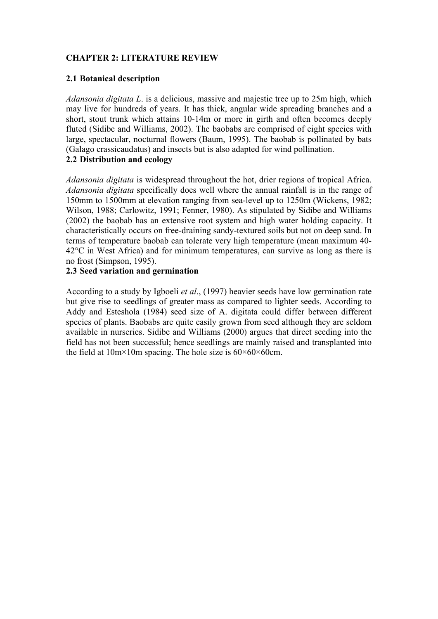# **CHAPTER 2: LITERATURE REVIEW**

## **2.1 Botanical description**

*Adansonia digitata L*. is a delicious, massive and majestic tree up to 25m high, which may live for hundreds of years. It has thick, angular wide spreading branches and a short, stout trunk which attains 10-14m or more in girth and often becomes deeply fluted (Sidibe and Williams, 2002). The baobabs are comprised of eight species with large, spectacular, nocturnal flowers (Baum, 1995). The baobab is pollinated by bats (Galago crassicaudatus) and insects but is also adapted for wind pollination.

## **2.2 Distribution and ecology**

*Adansonia digitata* is widespread throughout the hot, drier regions of tropical Africa. *Adansonia digitata* specifically does well where the annual rainfall is in the range of 150mm to 1500mm at elevation ranging from sea-level up to 1250m (Wickens, 1982; Wilson, 1988; Carlowitz, 1991; Fenner, 1980). As stipulated by Sidibe and Williams (2002) the baobab has an extensive root system and high water holding capacity. It characteristically occurs on free-draining sandy-textured soils but not on deep sand. In terms of temperature baobab can tolerate very high temperature (mean maximum 40- 42°C in West Africa) and for minimum temperatures, can survive as long as there is no frost (Simpson, 1995).

## **2.3 Seed variation and germination**

According to a study by Igboeli *et al*., (1997) heavier seeds have low germination rate but give rise to seedlings of greater mass as compared to lighter seeds. According to Addy and Esteshola (1984) seed size of A. digitata could differ between different species of plants. Baobabs are quite easily grown from seed although they are seldom available in nurseries. Sidibe and Williams (2000) argues that direct seeding into the field has not been successful; hence seedlings are mainly raised and transplanted into the field at  $10m \times 10m$  spacing. The hole size is  $60 \times 60 \times 60m$ .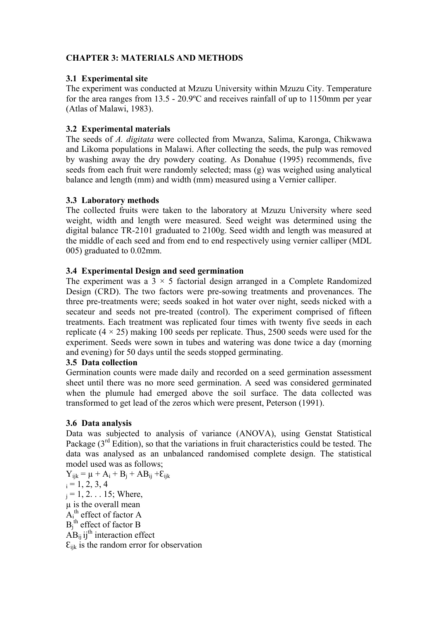# **CHAPTER 3: MATERIALS AND METHODS**

# **3.1 Experimental site**

The experiment was conducted at Mzuzu University within Mzuzu City. Temperature for the area ranges from 13.5 - 20.9ºC and receives rainfall of up to 1150mm per year (Atlas of Malawi, 1983).

## **3.2 Experimental materials**

The seeds of *A. digitata* were collected from Mwanza, Salima, Karonga, Chikwawa and Likoma populations in Malawi. After collecting the seeds, the pulp was removed by washing away the dry powdery coating. As Donahue (1995) recommends, five seeds from each fruit were randomly selected; mass (g) was weighed using analytical balance and length (mm) and width (mm) measured using a Vernier calliper.

## **3.3 Laboratory methods**

The collected fruits were taken to the laboratory at Mzuzu University where seed weight, width and length were measured. Seed weight was determined using the digital balance TR-2101 graduated to 2100g. Seed width and length was measured at the middle of each seed and from end to end respectively using vernier calliper (MDL 005) graduated to 0.02mm.

## **3.4 Experimental Design and seed germination**

The experiment was a  $3 \times 5$  factorial design arranged in a Complete Randomized Design (CRD). The two factors were pre-sowing treatments and provenances. The three pre-treatments were; seeds soaked in hot water over night, seeds nicked with a secateur and seeds not pre-treated (control). The experiment comprised of fifteen treatments. Each treatment was replicated four times with twenty five seeds in each replicate  $(4 \times 25)$  making 100 seeds per replicate. Thus, 2500 seeds were used for the experiment. Seeds were sown in tubes and watering was done twice a day (morning and evening) for 50 days until the seeds stopped germinating.

### **3.5 Data collection**

Germination counts were made daily and recorded on a seed germination assessment sheet until there was no more seed germination. A seed was considered germinated when the plumule had emerged above the soil surface. The data collected was transformed to get lead of the zeros which were present, Peterson (1991).

# **3.6 Data analysis**

Data was subjected to analysis of variance (ANOVA), using Genstat Statistical Package  $3<sup>rd</sup>$  Edition), so that the variations in fruit characteristics could be tested. The data was analysed as an unbalanced randomised complete design. The statistical model used was as follows;

 $Y_{ijk} = \mu + A_i + B_j + AB_{ij} + \mathcal{E}_{ijk}$  $i = 1, 2, 3, 4$  $i = 1, 2, \ldots 15$ ; Where, µ is the overall mean  $A_i^{\text{th}}$  effect of factor A  $B_i^{\text{th}}$  effect of factor B  $\overrightarrow{AB}_{ii}$  ij<sup>th</sup> interaction effect  $\mathcal{E}_{ijk}$  is the random error for observation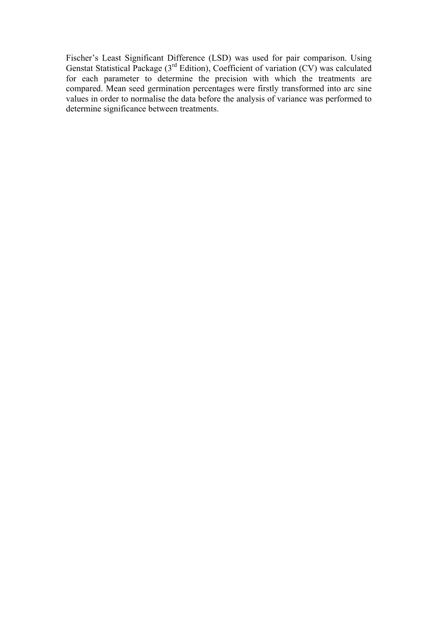Fischer's Least Significant Difference (LSD) was used for pair comparison. Using Genstat Statistical Package ( $3<sup>rd</sup>$  Edition), Coefficient of variation (CV) was calculated for each parameter to determine the precision with which the treatments are compared. Mean seed germination percentages were firstly transformed into arc sine values in order to normalise the data before the analysis of variance was performed to determine significance between treatments.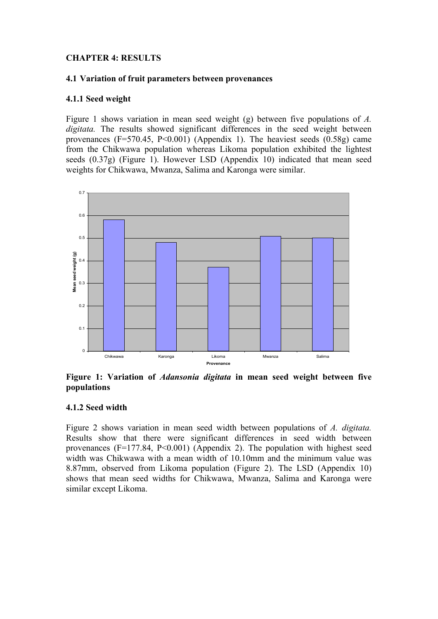# **CHAPTER 4: RESULTS**

#### **4.1 Variation of fruit parameters between provenances**

### **4.1.1 Seed weight**

Figure 1 shows variation in mean seed weight (g) between five populations of *A. digitata.* The results showed significant differences in the seed weight between provenances  $(F=570.45, P<0.001)$  (Appendix 1). The heaviest seeds  $(0.58g)$  came from the Chikwawa population whereas Likoma population exhibited the lightest seeds (0.37g) (Figure 1). However LSD (Appendix 10) indicated that mean seed weights for Chikwawa, Mwanza, Salima and Karonga were similar.



**Figure 1: Variation of** *Adansonia digitata* **in mean seed weight between five populations**

#### **4.1.2 Seed width**

Figure 2 shows variation in mean seed width between populations of *A. digitata.* Results show that there were significant differences in seed width between provenances  $(F=177.84, P<0.001)$  (Appendix 2). The population with highest seed width was Chikwawa with a mean width of 10.10mm and the minimum value was 8.87mm, observed from Likoma population (Figure 2). The LSD (Appendix 10) shows that mean seed widths for Chikwawa, Mwanza, Salima and Karonga were similar except Likoma.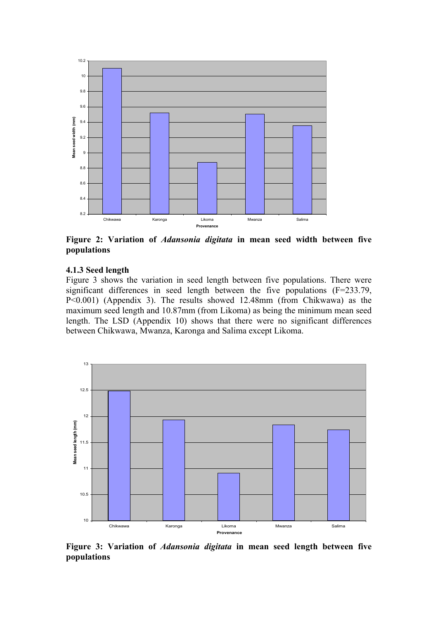

**Figure 2: Variation of** *Adansonia digitata* **in mean seed width between five populations**

#### **4.1.3 Seed length**

Figure 3 shows the variation in seed length between five populations. There were significant differences in seed length between the five populations (F=233.79, P<0.001) (Appendix 3). The results showed 12.48mm (from Chikwawa) as the maximum seed length and 10.87mm (from Likoma) as being the minimum mean seed length. The LSD (Appendix 10) shows that there were no significant differences between Chikwawa, Mwanza, Karonga and Salima except Likoma.



**Figure 3: Variation of** *Adansonia digitata* **in mean seed length between five populations**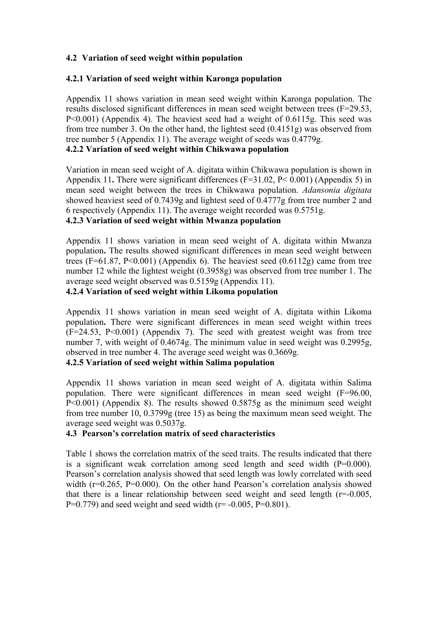# **4.2 Variation of seed weight within population**

# **4.2.1 Variation of seed weight within Karonga population**

Appendix 11 shows variation in mean seed weight within Karonga population. The results disclosed significant differences in mean seed weight between trees (F=29.53, P<0.001) (Appendix 4). The heaviest seed had a weight of 0.6115g. This seed was from tree number 3. On the other hand, the lightest seed (0.4151g) was observed from tree number 5 (Appendix 11). The average weight of seeds was 0.4779g. **4.2.2 Variation of seed weight within Chikwawa population**

Variation in mean seed weight of A. digitata within Chikwawa population is shown in Appendix 11**.** There were significant differences (F=31.02, P< 0.001) (Appendix 5) in mean seed weight between the trees in Chikwawa population. *Adansonia digitata*  showed heaviest seed of 0.7439g and lightest seed of 0.4777g from tree number 2 and 6 respectively (Appendix 11). The average weight recorded was 0.5751g.

**4.2.3 Variation of seed weight within Mwanza population**

Appendix 11 shows variation in mean seed weight of A. digitata within Mwanza population**.** The results showed significant differences in mean seed weight between trees (F=61.87, P<0.001) (Appendix 6). The heaviest seed  $(0.6112g)$  came from tree number 12 while the lightest weight (0.3958g) was observed from tree number 1. The average seed weight observed was 0.5159g (Appendix 11).

#### **4.2.4 Variation of seed weight within Likoma population**

Appendix 11 shows variation in mean seed weight of A. digitata within Likoma population**.** There were significant differences in mean seed weight within trees (F=24.53, P<0.001) (Appendix 7). The seed with greatest weight was from tree number 7, with weight of 0.4674g. The minimum value in seed weight was 0.2995g, observed in tree number 4. The average seed weight was 0.3669g.

# **4.2.5 Variation of seed weight within Salima population**

Appendix 11 shows variation in mean seed weight of A. digitata within Salima population. There were significant differences in mean seed weight (F=96.00, P<0.001) (Appendix 8). The results showed 0.5875g as the minimum seed weight from tree number 10, 0.3799g (tree 15) as being the maximum mean seed weight. The average seed weight was 0.5037g.

# **4.3 Pearson's correlation matrix of seed characteristics**

Table 1 shows the correlation matrix of the seed traits. The results indicated that there is a significant weak correlation among seed length and seed width  $(P=0.000)$ . Pearson's correlation analysis showed that seed length was lowly correlated with seed width (r=0.265, P=0.000). On the other hand Pearson's correlation analysis showed that there is a linear relationship between seed weight and seed length  $(r=0.005)$ , P=0.779) and seed weight and seed width ( $r=$  -0.005, P=0.801).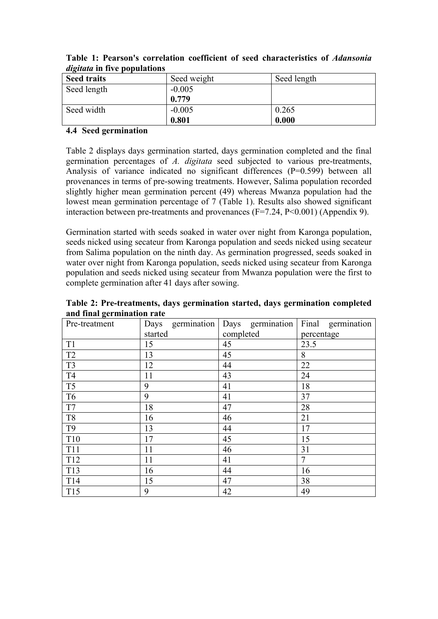| <b>Seed traits</b> | Seed weight | Seed length |
|--------------------|-------------|-------------|
| Seed length        | $-0.005$    |             |
|                    | 0.779       |             |
| Seed width         | $-0.005$    | 0.265       |
|                    | 0.801       | 0.000       |

**Table 1: Pearson's correlation coefficient of seed characteristics of** *Adansonia digitata* **in five populations**

### **4.4 Seed germination**

Table 2 displays days germination started, days germination completed and the final germination percentages of *A. digitata* seed subjected to various pre-treatments, Analysis of variance indicated no significant differences (P=0.599) between all provenances in terms of pre-sowing treatments. However, Salima population recorded slightly higher mean germination percent (49) whereas Mwanza population had the lowest mean germination percentage of 7 (Table 1). Results also showed significant interaction between pre-treatments and provenances (F=7.24, P<0.001) (Appendix 9).

Germination started with seeds soaked in water over night from Karonga population, seeds nicked using secateur from Karonga population and seeds nicked using secateur from Salima population on the ninth day. As germination progressed, seeds soaked in water over night from Karonga population, seeds nicked using secateur from Karonga population and seeds nicked using secateur from Mwanza population were the first to complete germination after 41 days after sowing.

**Table 2: Pre-treatments, days germination started, days germination completed and final germination rate**

| <u>_</u><br>Pre-treatment |         | Days germination Days germination | Final germination |
|---------------------------|---------|-----------------------------------|-------------------|
|                           | started | completed                         | percentage        |
| T1                        | 15      | 45                                | 23.5              |
| T2                        | 13      | 45                                | 8                 |
| T <sub>3</sub>            | 12      | 44                                | 22                |
| T <sub>4</sub>            | 11      | 43                                | 24                |
| $\overline{T5}$           | 9       | 41                                | 18                |
| T <sub>6</sub>            | 9       | 41                                | 37                |
| $\rm{T}7$                 | 18      | 47                                | 28                |
| T <sub>8</sub>            | 16      | 46                                | 21                |
| T <sub>9</sub>            | 13      | 44                                | 17                |
| T10                       | 17      | 45                                | 15                |
| <b>T11</b>                | 11      | 46                                | 31                |
| T <sub>12</sub>           | 11      | 41                                | $\tau$            |
| T <sub>13</sub>           | 16      | 44                                | 16                |
| T <sub>14</sub>           | 15      | 47                                | 38                |
| T15                       | 9       | 42                                | 49                |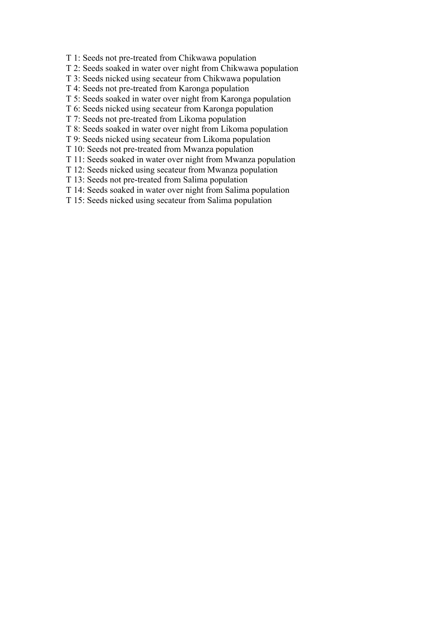- T 1: Seeds not pre-treated from Chikwawa population
- T 2: Seeds soaked in water over night from Chikwawa population
- T 3: Seeds nicked using secateur from Chikwawa population
- T 4: Seeds not pre-treated from Karonga population
- T 5: Seeds soaked in water over night from Karonga population
- T 6: Seeds nicked using secateur from Karonga population
- T 7: Seeds not pre-treated from Likoma population
- T 8: Seeds soaked in water over night from Likoma population
- T 9: Seeds nicked using secateur from Likoma population
- T 10: Seeds not pre-treated from Mwanza population
- T 11: Seeds soaked in water over night from Mwanza population
- T 12: Seeds nicked using secateur from Mwanza population
- T 13: Seeds not pre-treated from Salima population
- T 14: Seeds soaked in water over night from Salima population
- T 15: Seeds nicked using secateur from Salima population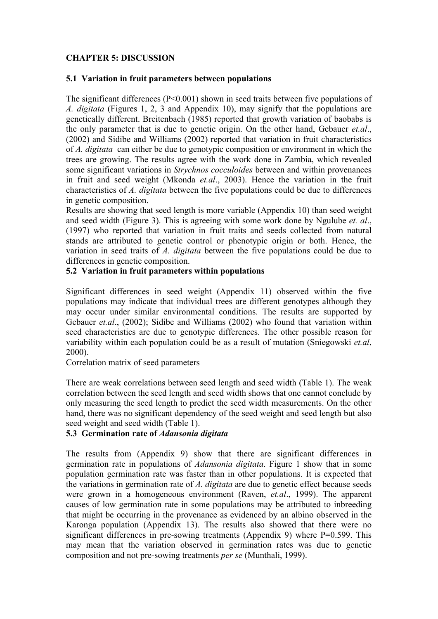# **CHAPTER 5: DISCUSSION**

### **5.1 Variation in fruit parameters between populations**

The significant differences (P<0.001) shown in seed traits between five populations of *A. digitata* (Figures 1, 2, 3 and Appendix 10), may signify that the populations are genetically different. Breitenbach (1985) reported that growth variation of baobabs is the only parameter that is due to genetic origin. On the other hand, Gebauer *et.al*., (2002) and Sidibe and Williams (2002) reported that variation in fruit characteristics of *A. digitata* can either be due to genotypic composition or environment in which the trees are growing. The results agree with the work done in Zambia, which revealed some significant variations in *Strychnos cocculoides* between and within provenances in fruit and seed weight (Mkonda *et.al*., 2003). Hence the variation in the fruit characteristics of *A. digitata* between the five populations could be due to differences in genetic composition.

Results are showing that seed length is more variable (Appendix 10) than seed weight and seed width (Figure 3). This is agreeing with some work done by Ngulube *et. al*., (1997) who reported that variation in fruit traits and seeds collected from natural stands are attributed to genetic control or phenotypic origin or both. Hence, the variation in seed traits of *A. digitata* between the five populations could be due to differences in genetic composition.

## **5.2 Variation in fruit parameters within populations**

Significant differences in seed weight (Appendix 11) observed within the five populations may indicate that individual trees are different genotypes although they may occur under similar environmental conditions. The results are supported by Gebauer *et.al*., (2002); Sidibe and Williams (2002) who found that variation within seed characteristics are due to genotypic differences. The other possible reason for variability within each population could be as a result of mutation (Sniegowski *et.al*, 2000).

Correlation matrix of seed parameters

There are weak correlations between seed length and seed width (Table 1). The weak correlation between the seed length and seed width shows that one cannot conclude by only measuring the seed length to predict the seed width measurements. On the other hand, there was no significant dependency of the seed weight and seed length but also seed weight and seed width (Table 1).

#### **5.3 Germination rate of** *Adansonia digitata*

The results from (Appendix 9) show that there are significant differences in germination rate in populations of *Adansonia digitata*. Figure 1 show that in some population germination rate was faster than in other populations. It is expected that the variations in germination rate of *A. digitata* are due to genetic effect because seeds were grown in a homogeneous environment (Raven, *et.al*., 1999). The apparent causes of low germination rate in some populations may be attributed to inbreeding that might be occurring in the provenance as evidenced by an albino observed in the Karonga population (Appendix 13). The results also showed that there were no significant differences in pre-sowing treatments (Appendix 9) where P=0.599. This may mean that the variation observed in germination rates was due to genetic composition and not pre-sowing treatments *per se* (Munthali, 1999).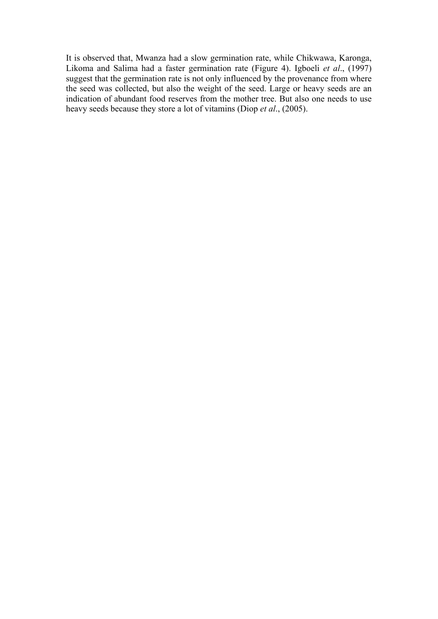It is observed that, Mwanza had a slow germination rate, while Chikwawa, Karonga, Likoma and Salima had a faster germination rate (Figure 4). Igboeli *et al*., (1997) suggest that the germination rate is not only influenced by the provenance from where the seed was collected, but also the weight of the seed. Large or heavy seeds are an indication of abundant food reserves from the mother tree. But also one needs to use heavy seeds because they store a lot of vitamins (Diop *et al*., (2005).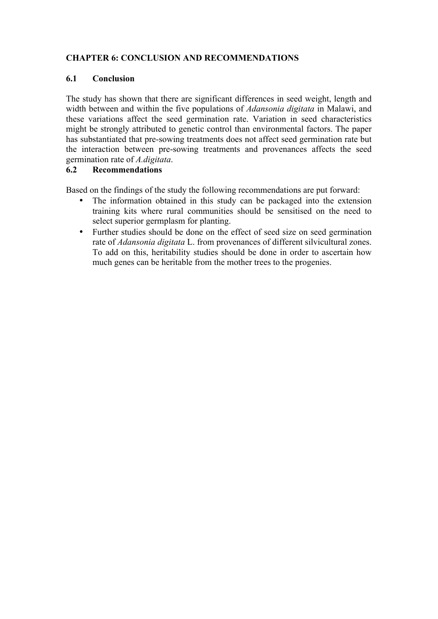# **CHAPTER 6: CONCLUSION AND RECOMMENDATIONS**

# **6.1 Conclusion**

The study has shown that there are significant differences in seed weight, length and width between and within the five populations of *Adansonia digitata* in Malawi, and these variations affect the seed germination rate. Variation in seed characteristics might be strongly attributed to genetic control than environmental factors. The paper has substantiated that pre-sowing treatments does not affect seed germination rate but the interaction between pre-sowing treatments and provenances affects the seed germination rate of *A.digitata*.

# **6.2 Recommendations**

Based on the findings of the study the following recommendations are put forward:

- The information obtained in this study can be packaged into the extension training kits where rural communities should be sensitised on the need to select superior germplasm for planting.
- Further studies should be done on the effect of seed size on seed germination rate of *Adansonia digitata* L. from provenances of different silvicultural zones. To add on this, heritability studies should be done in order to ascertain how much genes can be heritable from the mother trees to the progenies.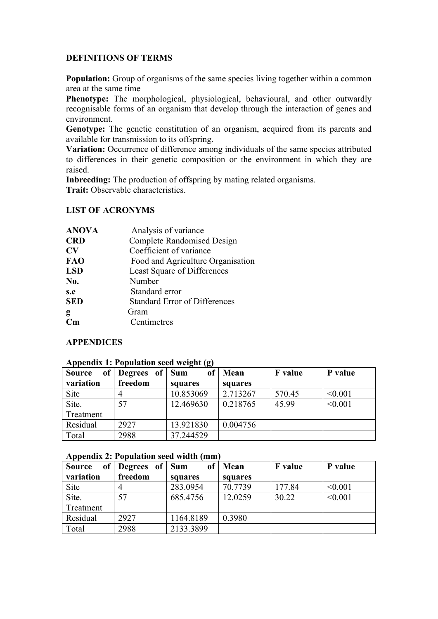# **DEFINITIONS OF TERMS**

**Population:** Group of organisms of the same species living together within a common area at the same time

**Phenotype:** The morphological, physiological, behavioural, and other outwardly recognisable forms of an organism that develop through the interaction of genes and environment.

Genotype: The genetic constitution of an organism, acquired from its parents and available for transmission to its offspring.

Variation: Occurrence of difference among individuals of the same species attributed to differences in their genetic composition or the environment in which they are raised.

**Inbreeding:** The production of offspring by mating related organisms. **Trait:** Observable characteristics.

# **LIST OF ACRONYMS**

| <b>ANOVA</b>           | Analysis of variance                 |
|------------------------|--------------------------------------|
| <b>CRD</b>             | <b>Complete Randomised Design</b>    |
| $\mathbf{C}\mathbf{V}$ | Coefficient of variance              |
| <b>FAO</b>             | Food and Agriculture Organisation    |
| <b>LSD</b>             | Least Square of Differences          |
| No.                    | Number                               |
| s.e                    | Standard error                       |
| <b>SED</b>             | <b>Standard Error of Differences</b> |
| g                      | Gram                                 |
|                        | Centimetres                          |

## **APPENDICES**

## **Appendix 1: Population seed weight (g)**

| ---- \_       |            |              |          |                |         |  |
|---------------|------------|--------------|----------|----------------|---------|--|
| <b>Source</b> | of Degrees | оf<br>of Sum | Mean     | <b>F</b> value | P value |  |
| variation     | freedom    | squares      | squares  |                |         |  |
| Site          |            | 10.853069    | 2.713267 | 570.45         | < 0.001 |  |
| Site.         | 57         | 12.469630    | 0.218765 | 45.99          | < 0.001 |  |
| Treatment     |            |              |          |                |         |  |
| Residual      | 2927       | 13.921830    | 0.004756 |                |         |  |
| Total         | 2988       | 37.244529    |          |                |         |  |

#### **Appendix 2: Population seed width (mm)**

| <sub>of</sub><br>Source | Degrees of Sum |           | of   Mean | <b>F</b> value | P value |
|-------------------------|----------------|-----------|-----------|----------------|---------|
| variation               | freedom        | squares   | squares   |                |         |
| Site                    |                | 283.0954  | 70.7739   | 177.84         | < 0.001 |
| Site.                   | 57             | 685.4756  | 12.0259   | 30.22          | < 0.001 |
| Treatment               |                |           |           |                |         |
| Residual                | 2927           | 1164.8189 | 0.3980    |                |         |
| Total                   | 2988           | 2133.3899 |           |                |         |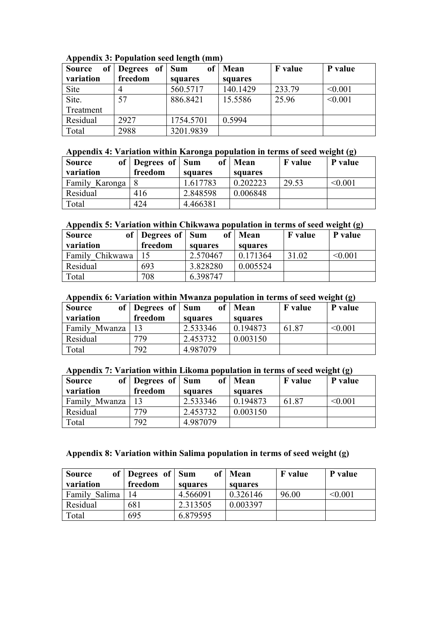| <b>of</b><br>Source | Degrees of Sum |           | of   Mean | <b>F</b> value | P value |
|---------------------|----------------|-----------|-----------|----------------|---------|
| variation           | freedom        | squares   | squares   |                |         |
| Site                |                | 560.5717  | 140.1429  | 233.79         | < 0.001 |
| Site.               | 57             | 886.8421  | 15.5586   | 25.96          | < 0.001 |
| Treatment           |                |           |           |                |         |
| Residual            | 2927           | 1754.5701 | 0.5994    |                |         |
| Total               | 2988           | 3201.9839 |           |                |         |

## **Appendix 3: Population seed length (mm)**

#### **Appendix 4: Variation within Karonga population in terms of seed weight (g)**

| <b>Source</b>  | of Degrees of | <b>Sum</b><br>of | Mean     | <b>F</b> value | $\rightarrow$<br>P value |
|----------------|---------------|------------------|----------|----------------|--------------------------|
| variation      | freedom       | squares          | squares  |                |                          |
| Family Karonga |               | 1.617783         | 0.202223 | 29.53          | < 0.001                  |
| Residual       | 416           | 2.848598         | 0.006848 |                |                          |
| Total          | 424           | 4.466381         |          |                |                          |

# **Appendix 5: Variation within Chikwawa population in terms of seed weight (g)**

| <b>Source</b><br>of | Degrees of Sum |          | of   Mean | <b>F</b> value | P value |
|---------------------|----------------|----------|-----------|----------------|---------|
| variation           | freedom        | squares  | squares   |                |         |
| Family Chikwawa     |                | 2.570467 | 0.171364  | 31.02          | < 0.001 |
| Residual            | 693            | 3.828280 | 0.005524  |                |         |
| Total               | 708            | 6.398747 |           |                |         |

## **Appendix 6: Variation within Mwanza population in terms of seed weight (g)**

| <b>Source</b><br>of | Degrees of Sum | оf       | Mean     | <b>F</b> value | P value |
|---------------------|----------------|----------|----------|----------------|---------|
| variation           | freedom        | squares  | squares  |                |         |
| Family Mwanza       | 13             | 2.533346 | 0.194873 | 61.87          | < 0.001 |
| Residual            | 779            | 2.453732 | 0.003150 |                |         |
| Total               | 792            | 4.987079 |          |                |         |

#### **Appendix 7: Variation within Likoma population in terms of seed weight (g)**

| <b>Source</b> | of   Degrees of   Sum | of       | Mean     | <b>F</b> value | P value |
|---------------|-----------------------|----------|----------|----------------|---------|
| variation     | freedom               | squares  | squares  |                |         |
| Family Mwanza | 13                    | 2.533346 | 0.194873 | 61.87          | < 0.001 |
| Residual      | 779                   | 2.453732 | 0.003150 |                |         |
| Total         | 792                   | 4.987079 |          |                |         |

# **Appendix 8: Variation within Salima population in terms of seed weight (g)**

| <b>Source</b> | of   Degrees of   Sum |          | of   Mean | <b>F</b> value | P value |
|---------------|-----------------------|----------|-----------|----------------|---------|
| variation     | freedom               | squares  | squares   |                |         |
| Family Salima | 14                    | 4.566091 | 0.326146  | 96.00          | < 0.001 |
| Residual      | 681                   | 2.313505 | 0.003397  |                |         |
| Total         | 695                   | 6.879595 |           |                |         |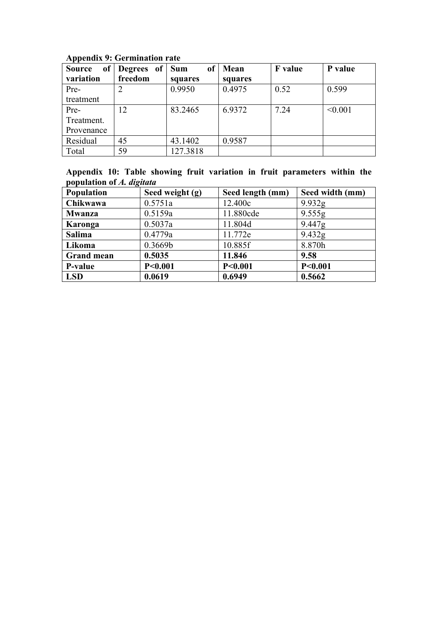| of<br><b>Source</b> | Degrees of | of <sub>1</sub><br><b>Sum</b> | Mean    | <b>F</b> value | P value |
|---------------------|------------|-------------------------------|---------|----------------|---------|
| variation           | freedom    | squares                       | squares |                |         |
| Pre-                |            | 0.9950                        | 0.4975  | 0.52           | 0.599   |
| treatment           |            |                               |         |                |         |
| Pre-                | 12         | 83.2465                       | 6.9372  | 7.24           | < 0.001 |
| Treatment.          |            |                               |         |                |         |
| Provenance          |            |                               |         |                |         |
| Residual            | 45         | 43.1402                       | 0.9587  |                |         |
| Total               | 59         | 127.3818                      |         |                |         |

# **Appendix 9: Germination rate**

**Appendix 10: Table showing fruit variation in fruit parameters within the population of** *A. digitata*

| <b>Population</b> | Seed weight (g) | Seed length (mm) | Seed width (mm)    |
|-------------------|-----------------|------------------|--------------------|
| Chikwawa          | 0.5751a         | 12.400c          | 9.932g             |
| <b>Mwanza</b>     | 0.5159a         | 11.880cde        | 9.555g             |
| Karonga           | 0.5037a         | 11.804d          | 9.447g             |
| <b>Salima</b>     | 0.4779a         | 11.772e          | 9.432 <sub>g</sub> |
| Likoma            | 0.3669b         | 10.885f          | 8.870h             |
| <b>Grand mean</b> | 0.5035          | 11.846           | 9.58               |
| P-value           | P<0.001         | P < 0.001        | P<0.001            |
| <b>LSD</b>        | 0.0619          | 0.6949           | 0.5662             |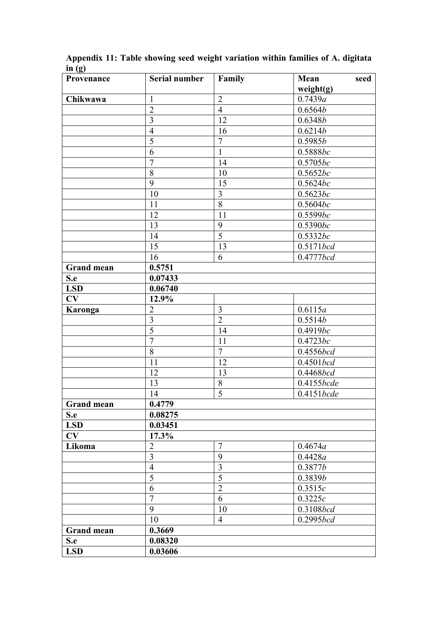| Provenance        | <b>Serial number</b> | Family         | Mean<br>seed            |  |  |  |
|-------------------|----------------------|----------------|-------------------------|--|--|--|
|                   |                      |                | weight $(g)$            |  |  |  |
| Chikwawa          | $\mathbf{1}$         | $\overline{2}$ | 0.7439a                 |  |  |  |
|                   | $\overline{2}$       | $\overline{4}$ | 0.6564b                 |  |  |  |
|                   | 3                    | 12             | 0.6348b                 |  |  |  |
|                   | $\overline{4}$       | 16             | 0.6214b                 |  |  |  |
|                   | $\overline{5}$       | $\overline{7}$ | 0.5985b                 |  |  |  |
|                   | 6                    | $\mathbf{1}$   | 0.5888bc                |  |  |  |
|                   | $\overline{7}$       | 14             | 0.5705bc                |  |  |  |
|                   | 8                    | 10             | 0.5652bc                |  |  |  |
|                   | 9                    | 15             | 0.5624bc                |  |  |  |
|                   | 10                   | $\overline{3}$ | 0.5623bc                |  |  |  |
|                   | 11                   | 8              | 0.5604bc                |  |  |  |
|                   | 12                   | 11             | 0.5599bc                |  |  |  |
|                   | 13                   | 9              | 0.5390bc                |  |  |  |
|                   | 14                   | $\overline{5}$ | 0.5332bc                |  |  |  |
|                   | 15                   | 13             | 0.5171 <i>bcd</i>       |  |  |  |
|                   | 16                   | 6              | 0.4777bcd               |  |  |  |
| <b>Grand mean</b> | 0.5751               |                |                         |  |  |  |
| S.e               | 0.07433              |                |                         |  |  |  |
| <b>LSD</b>        | 0.06740              |                |                         |  |  |  |
| CV                | 12.9%                |                |                         |  |  |  |
| <b>Karonga</b>    | $\overline{2}$       | $\overline{3}$ | 0.6115a                 |  |  |  |
|                   | $\overline{3}$       | $\overline{2}$ | 0.5514b                 |  |  |  |
|                   | 5                    | 14             | 0.4919bc                |  |  |  |
|                   | $\overline{7}$       | 11             | 0.4723bc                |  |  |  |
|                   | 8                    | $\tau$         | 0.4556bcd               |  |  |  |
|                   | 11                   | 12             | 0.4501 <i>bcd</i>       |  |  |  |
|                   | 12                   | 13             | 0.4468bcd<br>0.4155bcde |  |  |  |
|                   | 13                   | $8\,$          |                         |  |  |  |
|                   | 14                   | 5              | 0.4151 <i>bcde</i>      |  |  |  |
| <b>Grand mean</b> | 0.4779               |                |                         |  |  |  |
| S.e               | 0.08275              |                |                         |  |  |  |
| <b>LSD</b>        | 0.03451              |                |                         |  |  |  |
| CV                | 17.3%                |                |                         |  |  |  |
| Likoma            | $\overline{2}$       | $\overline{7}$ | 0.4674a                 |  |  |  |
|                   | $\overline{3}$       | 9              | 0.4428a                 |  |  |  |
|                   | $\overline{4}$       | $\overline{3}$ | 0.3877b                 |  |  |  |
|                   | 5                    | 5              | 0.3839b                 |  |  |  |
|                   | 6                    | $\overline{2}$ | 0.3515c                 |  |  |  |
|                   | $\overline{7}$       | 6              | 0.3225c                 |  |  |  |
| 9                 |                      | 10             | 0.3108 <i>bcd</i>       |  |  |  |
|                   | 10                   | $\overline{4}$ | 0.2995bcd               |  |  |  |
| <b>Grand mean</b> | 0.3669               |                |                         |  |  |  |
| S.e               | 0.08320              |                |                         |  |  |  |
| <b>LSD</b>        | 0.03606              |                |                         |  |  |  |

**Appendix 11: Table showing seed weight variation within families of A. digitata in (g)**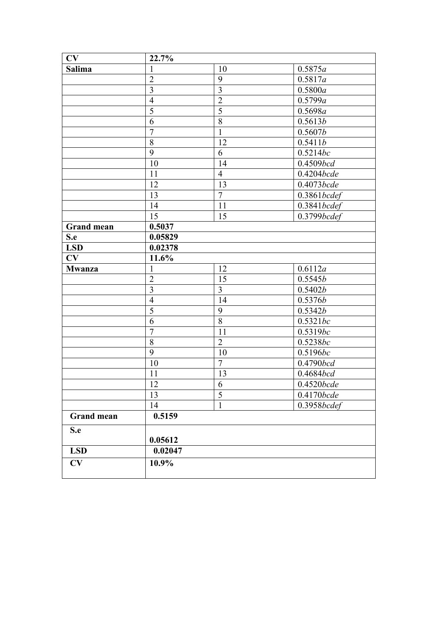| CV                | 22.7%          |                |                     |
|-------------------|----------------|----------------|---------------------|
| <b>Salima</b>     | 1              | 10             | 0.5875a             |
|                   | $\overline{2}$ | 9              | 0.5817a             |
|                   | $\overline{3}$ | $\overline{3}$ | 0.5800a             |
|                   | $\overline{4}$ | $\overline{2}$ | 0.5799a             |
|                   | 5              | $\overline{5}$ | 0.5698a             |
|                   | 6              | 8              | 0.5613b             |
|                   | $\overline{7}$ | $\mathbf{1}$   | 0.5607b             |
|                   | 8              | 12             | 0.5411b             |
|                   | 9              | 6              | 0.5214bc            |
|                   | 10             | 14             | 0.4509bcd           |
|                   | 11             | $\overline{4}$ | 0.4204 <i>bcde</i>  |
|                   | 12             | 13             | 0.4073bcde          |
|                   | 13             | $\overline{7}$ | 0.3861bcdef         |
|                   | 14             | 11             | 0.3841 <i>bcdef</i> |
|                   | 15             | 15             | 0.3799bcdef         |
| <b>Grand mean</b> | 0.5037         |                |                     |
| S.e               | 0.05829        |                |                     |
| <b>LSD</b>        | 0.02378        |                |                     |
| CV                | 11.6%          |                |                     |
| <b>Mwanza</b>     |                | 12             | 0.6112a             |
|                   | $\overline{2}$ | 15             | 0.5545b             |
|                   | $\overline{3}$ | $\overline{3}$ | 0.5402b             |
|                   | $\overline{4}$ | 14             | 0.5376b             |
|                   | 5              | 9              | 0.5342b             |
|                   | 6              | 8              | 0.5321bc            |
|                   | $\overline{7}$ | 11             | 0.5319bc            |
|                   | 8              | $\overline{2}$ | 0.5238bc            |
|                   | 9              | 10             | 0.5196bc            |
|                   | 10             | $\overline{7}$ | 0.4790bcd           |
|                   | 11             | 13             | 0.4684bcd           |
|                   | 12             | 6              | 0.4520 <i>bcde</i>  |
|                   | 13             | 5              | 0.4170 <i>bcde</i>  |
|                   | 14             | $\mathbf{1}$   | 0.3958bcdef         |
| <b>Grand mean</b> | 0.5159         |                |                     |
| S.e               |                |                |                     |
|                   | 0.05612        |                |                     |
| <b>LSD</b>        | 0.02047        |                |                     |
| CV                | 10.9%          |                |                     |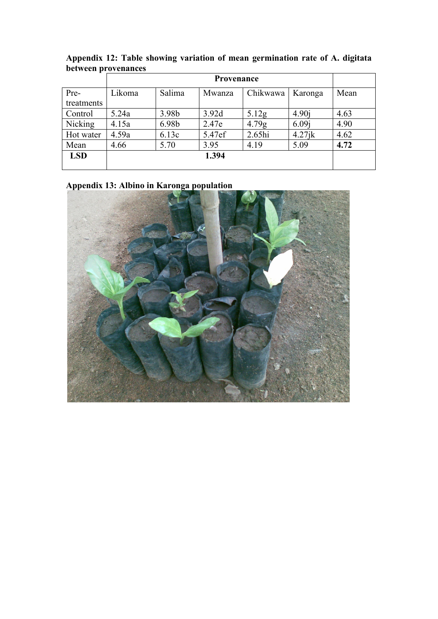|            | <b>Provenance</b> |        |        |                   |                   |      |
|------------|-------------------|--------|--------|-------------------|-------------------|------|
| Pre-       | Likoma            | Salima | Mwanza | Chikwawa          | Karonga           | Mean |
| treatments |                   |        |        |                   |                   |      |
| Control    | 5.24a             | 3.98b  | 3.92d  | 5.12g             | 4.90i             | 4.63 |
| Nicking    | 4.15a             | 6.98b  | 2.47e  | 4.79 <sub>g</sub> | 6.09 <sub>i</sub> | 4.90 |
| Hot water  | 4.59a             | 6.13c  | 5.47ef | 2.65hi            | $4.27$ jk         | 4.62 |
| Mean       | 4.66              | 5.70   | 3.95   | 4.19              | 5.09              | 4.72 |
| <b>LSD</b> |                   |        | 1.394  |                   |                   |      |
|            |                   |        |        |                   |                   |      |

**Appendix 12: Table showing variation of mean germination rate of A. digitata between provenances**

**Appendix 13: Albino in Karonga population**

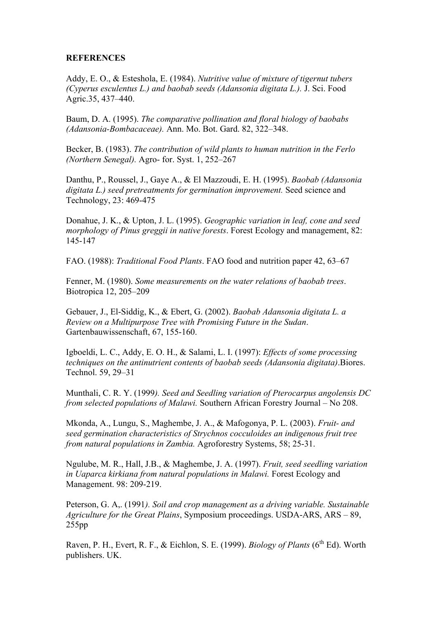#### **REFERENCES**

Addy, E. O., & Esteshola, E. (1984). *Nutritive value of mixture of tigernut tubers (Cyperus esculentus L.) and baobab seeds (Adansonia digitata L.).* J. Sci. Food Agric.35, 437–440.

Baum, D. A. (1995). *The comparative pollination and floral biology of baobabs (Adansonia-Bombacaceae).* Ann. Mo. Bot. Gard. 82, 322–348.

Becker, B. (1983). *The contribution of wild plants to human nutrition in the Ferlo (Northern Senegal).* Agro- for. Syst. 1, 252–267

Danthu, P., Roussel, J., Gaye A., & El Mazzoudi, E. H. (1995). *Baobab (Adansonia digitata L.) seed pretreatments for germination improvement.* Seed science and Technology, 23: 469-475

Donahue, J. K., & Upton, J. L. (1995). *Geographic variation in leaf, cone and seed morphology of Pinus greggii in native forests*. Forest Ecology and management, 82: 145-147

FAO. (1988): *Traditional Food Plants*. FAO food and nutrition paper 42, 63–67

Fenner, M. (1980). *Some measurements on the water relations of baobab trees*. Biotropica 12, 205–209

Gebauer, J., El-Siddig, K., & Ebert, G. (2002). *Baobab Adansonia digitata L. a Review on a Multipurpose Tree with Promising Future in the Sudan*. Gartenbauwissenschaft, 67, 155-160.

Igboeldi, L. C., Addy, E. O. H., & Salami, L. I. (1997): *Effects of some processing techniques on the antinutrient contents of baobab seeds (Adansonia digitata)*.Biores. Technol. 59, 29–31

Munthali, C. R. Y. (1999*). Seed and Seedling variation of Pterocarpus angolensis DC from selected populations of Malawi.* Southern African Forestry Journal – No 208.

Mkonda, A., Lungu, S., Maghembe, J. A., & Mafogonya, P. L. (2003). *Fruit- and seed germination characteristics of Strychnos cocculoides an indigenous fruit tree from natural populations in Zambia.* Agroforestry Systems, 58; 25-31.

Ngulube, M. R., Hall, J.B., & Maghembe, J. A. (1997). *Fruit, seed seedling variation in Uaparca kirkiana from natural populations in Malawi.* Forest Ecology and Management. 98: 209-219.

Peterson, G. A,. (1991*). Soil and crop management as a driving variable. Sustainable Agriculture for the Great Plains*, Symposium proceedings. USDA-ARS, ARS – 89, 255pp

Raven, P. H., Evert, R. F., & Eichlon, S. E. (1999). *Biology of Plants* (6<sup>th</sup> Ed). Worth publishers. UK.